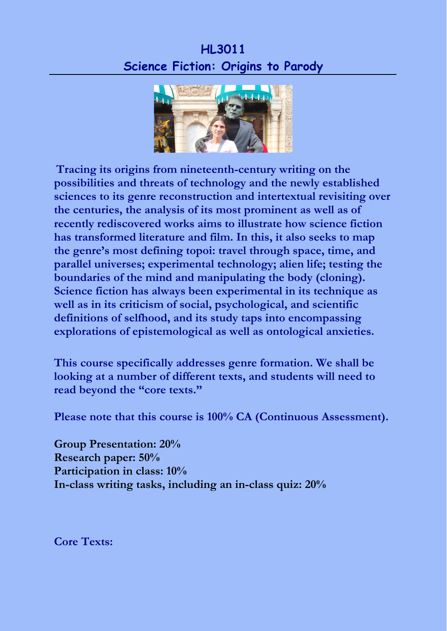## **HL3011 Science Fiction: Origins to Parody**



**Tracing its origins from nineteenth-century writing on the possibilities and threats of technology and the newly established sciences to its genre reconstruction and intertextual revisiting over the centuries, the analysis of its most prominent as well as of recently rediscovered works aims to illustrate how science fiction has transformed literature and film. In this, it also seeks to map the genre's most defining topoi: travel through space, time, and parallel universes; experimental technology; alien life; testing the boundaries of the mind and manipulating the body (cloning). Science fiction has always been experimental in its technique as well as in its criticism of social, psychological, and scientific definitions of selfhood, and its study taps into encompassing explorations of epistemological as well as ontological anxieties.**

**This course specifically addresses genre formation. We shall be looking at a number of different texts, and students will need to read beyond the "core texts."**

**Please note that this course is 100% CA (Continuous Assessment).**

**Group Presentation: 20% Research paper: 50% Participation in class: 10% In-class writing tasks, including an in-class quiz: 20%**

**Core Texts:**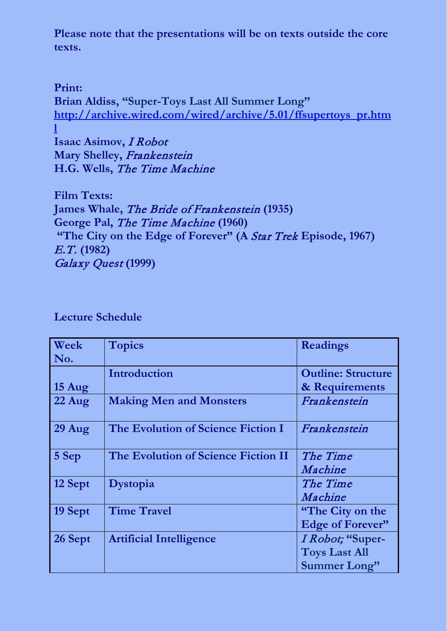**Please note that the presentations will be on texts outside the core texts.**

**Print: Brian Aldiss, "Super-Toys Last All Summer Long" [http://archive.wired.com/wired/archive/5.01/ffsupertoys\\_pr.htm](http://archive.wired.com/wired/archive/5.01/ffsupertoys_pr.html) [l](http://archive.wired.com/wired/archive/5.01/ffsupertoys_pr.html) Isaac Asimov,** I Robot **Mary Shelley,** Frankenstein **H.G. Wells,** The Time Machine

**Film Texts: James Whale,** The Bride of Frankenstein **(1935) George Pal,** The Time Machine **(1960) "The City on the Edge of Forever" (A** Star Trek **Episode, 1967)** E.T. **(1982)** Galaxy Quest **(1999)**

| Week             | <b>Topics</b>                       | <b>Readings</b>           |
|------------------|-------------------------------------|---------------------------|
| No.              |                                     |                           |
|                  | Introduction                        | <b>Outline: Structure</b> |
| $15 \text{ Aug}$ |                                     | & Requirements            |
| $22$ Aug         | <b>Making Men and Monsters</b>      | Frankenstein              |
| $29$ Aug         | The Evolution of Science Fiction I  | Frankenstein              |
| 5 Sep            | The Evolution of Science Fiction II | The Time                  |
|                  |                                     | Machine                   |
| 12 Sept          | Dystopia                            | The Time                  |
|                  |                                     | Machine                   |
| 19 Sept          | <b>Time Travel</b>                  | "The City on the          |
|                  |                                     | Edge of Forever"          |
| 26 Sept          | <b>Artificial Intelligence</b>      | I Robot; "Super-          |
|                  |                                     | <b>Toys Last All</b>      |
|                  |                                     | <b>Summer Long"</b>       |

**Lecture Schedule**